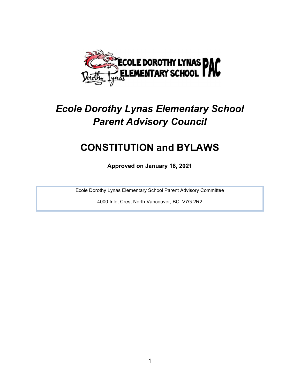

# Ecole Dorothy Lynas Elementary School Parent Advisory Council

# CONSTITUTION and BYLAWS

Approved on January 18, 2021

Ecole Dorothy Lynas Elementary School Parent Advisory Committee

4000 Inlet Cres, North Vancouver, BC V7G 2R2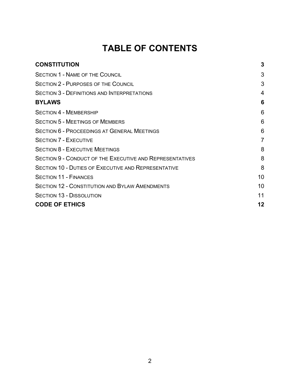## TABLE OF CONTENTS

| <b>CONSTITUTION</b>                                             | 3               |
|-----------------------------------------------------------------|-----------------|
| <b>SECTION 1 - NAME OF THE COUNCIL</b>                          | 3               |
| <b>SECTION 2 - PURPOSES OF THE COUNCIL</b>                      | 3               |
| <b>SECTION 3 - DEFINITIONS AND INTERPRETATIONS</b>              | 4               |
| <b>BYLAWS</b>                                                   | 6               |
| <b>SECTION 4 - MEMBERSHIP</b>                                   | 6               |
| <b>SECTION 5 - MEETINGS OF MEMBERS</b>                          | 6               |
| <b>SECTION 6 - PROCEEDINGS AT GENERAL MEETINGS</b>              | 6               |
| <b>SECTION 7 - EXECUTIVE</b>                                    | $\overline{7}$  |
| <b>SECTION 8 - EXECUTIVE MEETINGS</b>                           | 8               |
| <b>SECTION 9 - CONDUCT OF THE EXECUTIVE AND REPRESENTATIVES</b> | 8               |
| <b>SECTION 10 - DUTIES OF EXECUTIVE AND REPRESENTATIVE</b>      | 8               |
| <b>SECTION 11 - FINANCES</b>                                    | 10 <sup>1</sup> |
| <b>SECTION 12 - CONSTITUTION AND BYLAW AMENDMENTS</b>           | 10              |
| <b>SECTION 13 - DISSOLUTION</b>                                 | 11              |
| <b>CODE OF ETHICS</b>                                           | 12              |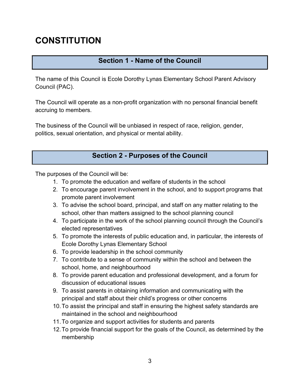## **CONSTITUTION**

## Section 1 - Name of the Council

The name of this Council is Ecole Dorothy Lynas Elementary School Parent Advisory Council (PAC).

The Council will operate as a non-profit organization with no personal financial benefit accruing to members.

The business of the Council will be unbiased in respect of race, religion, gender, politics, sexual orientation, and physical or mental ability.

### Section 2 - Purposes of the Council

The purposes of the Council will be:

- 1. To promote the education and welfare of students in the school
- 2. To encourage parent involvement in the school, and to support programs that promote parent involvement
- 3. To advise the school board, principal, and staff on any matter relating to the school, other than matters assigned to the school planning council
- 4. To participate in the work of the school planning council through the Council's elected representatives
- 5. To promote the interests of public education and, in particular, the interests of Ecole Dorothy Lynas Elementary School
- 6. To provide leadership in the school community
- 7. To contribute to a sense of community within the school and between the school, home, and neighbourhood
- 8. To provide parent education and professional development, and a forum for discussion of educational issues
- 9. To assist parents in obtaining information and communicating with the principal and staff about their child's progress or other concerns
- 10. To assist the principal and staff in ensuring the highest safety standards are maintained in the school and neighbourhood
- 11. To organize and support activities for students and parents
- 12. To provide financial support for the goals of the Council, as determined by the membership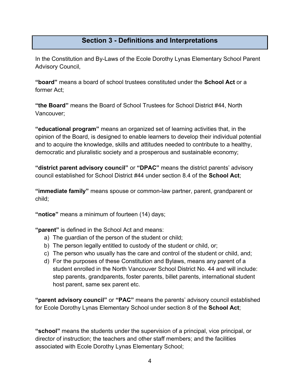#### Section 3 - Definitions and Interpretations

In the Constitution and By-Laws of the Ecole Dorothy Lynas Elementary School Parent Advisory Council,

"board" means a board of school trustees constituted under the School Act or a former Act;

"the Board" means the Board of School Trustees for School District #44, North Vancouver;

"educational program" means an organized set of learning activities that, in the opinion of the Board, is designed to enable learners to develop their individual potential and to acquire the knowledge, skills and attitudes needed to contribute to a healthy, democratic and pluralistic society and a prosperous and sustainable economy;

"district parent advisory council" or "DPAC" means the district parents' advisory council established for School District #44 under section 8.4 of the School Act;

"immediate family" means spouse or common-law partner, parent, grandparent or child;

"notice" means a minimum of fourteen (14) days;

"parent" is defined in the School Act and means:

- a) The guardian of the person of the student or child;
- b) The person legally entitled to custody of the student or child, or;
- c) The person who usually has the care and control of the student or child, and;
- d) For the purposes of these Constitution and Bylaws, means any parent of a student enrolled in the North Vancouver School District No. 44 and will include: step parents, grandparents, foster parents, billet parents, international student host parent, same sex parent etc.

"parent advisory council" or "PAC" means the parents' advisory council established for Ecole Dorothy Lynas Elementary School under section 8 of the **School Act**;

"school" means the students under the supervision of a principal, vice principal, or director of instruction; the teachers and other staff members; and the facilities associated with Ecole Dorothy Lynas Elementary School;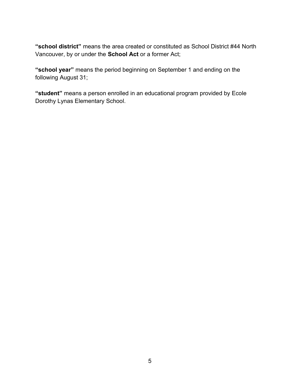"school district" means the area created or constituted as School District #44 North Vancouver, by or under the School Act or a former Act;

"school year" means the period beginning on September 1 and ending on the following August 31;

"student" means a person enrolled in an educational program provided by Ecole Dorothy Lynas Elementary School.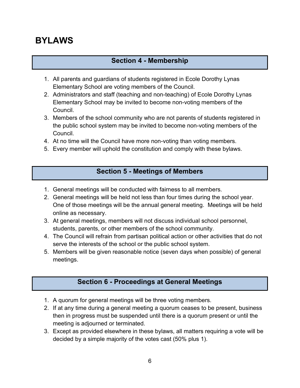## BYLAWS

### Section 4 - Membership

- 1. All parents and guardians of students registered in Ecole Dorothy Lynas Elementary School are voting members of the Council.
- 2. Administrators and staff (teaching and non-teaching) of Ecole Dorothy Lynas Elementary School may be invited to become non-voting members of the Council.
- 3. Members of the school community who are not parents of students registered in the public school system may be invited to become non-voting members of the Council.
- 4. At no time will the Council have more non-voting than voting members.
- 5. Every member will uphold the constitution and comply with these bylaws.

### Section 5 - Meetings of Members

- 1. General meetings will be conducted with fairness to all members.
- 2. General meetings will be held not less than four times during the school year. One of those meetings will be the annual general meeting. Meetings will be held online as necessary.
- 3. At general meetings, members will not discuss individual school personnel, students, parents, or other members of the school community.
- 4. The Council will refrain from partisan political action or other activities that do not serve the interests of the school or the public school system.
- 5. Members will be given reasonable notice (seven days when possible) of general meetings.

## Section 6 - Proceedings at General Meetings

- 1. A quorum for general meetings will be three voting members.
- 2. If at any time during a general meeting a quorum ceases to be present, business then in progress must be suspended until there is a quorum present or until the meeting is adjourned or terminated.
- 3. Except as provided elsewhere in these bylaws, all matters requiring a vote will be decided by a simple majority of the votes cast (50% plus 1).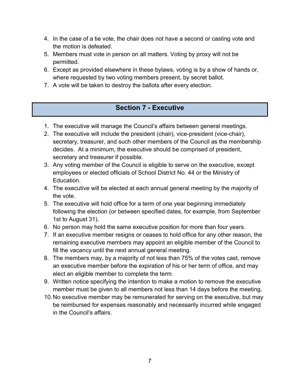- 4. In the case of a tie vote, the chair does not have a second or casting vote and the motion is defeated.
- 5. Members must vote in person on all matters. Voting by proxy will not be permitted.
- 6. Except as provided elsewhere in these bylaws, voting is by a show of hands or, where requested by two voting members present, by secret ballot.
- 7. A vote will be taken to destroy the ballots after every election.

## Section 7 - Executive

- 1. The executive will manage the Council's affairs between general meetings.
- 2. The executive will include the president (chair), vice-president (vice-chair), secretary, treasurer, and such other members of the Council as the membership decides. At a minimum, the executive should be comprised of president, secretary and treasurer if possible.
- 3. Any voting member of the Council is eligible to serve on the executive, except employees or elected officials of School District No. 44 or the Ministry of Education.
- 4. The executive will be elected at each annual general meeting by the majority of the vote.
- 5. The executive will hold office for a term of one year beginning immediately following the election (or between specified dates, for example, from September 1st to August 31).
- 6. No person may hold the same executive position for more than four years.
- 7. If an executive member resigns or ceases to hold office for any other reason, the remaining executive members may appoint an eligible member of the Council to fill the vacancy until the next annual general meeting.
- 8. The members may, by a majority of not less than 75% of the votes cast, remove an executive member before the expiration of his or her term of office, and may elect an eligible member to complete the term.
- 9. Written notice specifying the intention to make a motion to remove the executive member must be given to all members not less than 14 days before the meeting.
- 10. No executive member may be remunerated for serving on the executive, but may be reimbursed for expenses reasonably and necessarily incurred while engaged in the Council's affairs.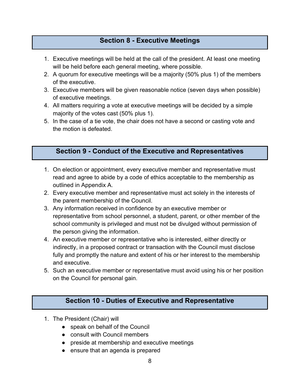#### Section 8 - Executive Meetings

- 1. Executive meetings will be held at the call of the president. At least one meeting will be held before each general meeting, where possible.
- 2. A quorum for executive meetings will be a majority (50% plus 1) of the members of the executive.
- 3. Executive members will be given reasonable notice (seven days when possible) of executive meetings.
- 4. All matters requiring a vote at executive meetings will be decided by a simple majority of the votes cast (50% plus 1).
- 5. In the case of a tie vote, the chair does not have a second or casting vote and the motion is defeated.

#### Section 9 - Conduct of the Executive and Representatives

- 1. On election or appointment, every executive member and representative must read and agree to abide by a code of ethics acceptable to the membership as outlined in Appendix A.
- 2. Every executive member and representative must act solely in the interests of the parent membership of the Council.
- 3. Any information received in confidence by an executive member or representative from school personnel, a student, parent, or other member of the school community is privileged and must not be divulged without permission of the person giving the information.
- 4. An executive member or representative who is interested, either directly or indirectly, in a proposed contract or transaction with the Council must disclose fully and promptly the nature and extent of his or her interest to the membership and executive.
- 5. Such an executive member or representative must avoid using his or her position on the Council for personal gain.

#### Section 10 - Duties of Executive and Representative

- 1. The President (Chair) will
	- speak on behalf of the Council
	- consult with Council members
	- preside at membership and executive meetings
	- ensure that an agenda is prepared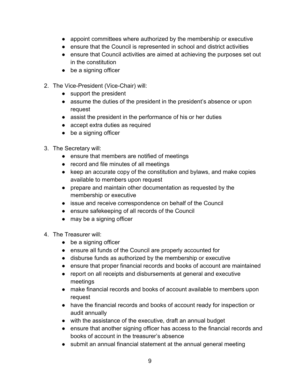- appoint committees where authorized by the membership or executive
- ensure that the Council is represented in school and district activities
- ensure that Council activities are aimed at achieving the purposes set out in the constitution
- be a signing officer
- 2. The Vice-President (Vice-Chair) will:
	- support the president
	- assume the duties of the president in the president's absence or upon request
	- assist the president in the performance of his or her duties
	- accept extra duties as required
	- be a signing officer
- 3. The Secretary will:
	- ensure that members are notified of meetings
	- record and file minutes of all meetings
	- keep an accurate copy of the constitution and bylaws, and make copies available to members upon request
	- prepare and maintain other documentation as requested by the membership or executive
	- issue and receive correspondence on behalf of the Council
	- ensure safekeeping of all records of the Council
	- may be a signing officer
- 4. The Treasurer will:
	- be a signing officer
	- ensure all funds of the Council are properly accounted for
	- disburse funds as authorized by the membership or executive
	- ensure that proper financial records and books of account are maintained
	- report on all receipts and disbursements at general and executive meetings
	- make financial records and books of account available to members upon request
	- have the financial records and books of account ready for inspection or audit annually
	- with the assistance of the executive, draft an annual budget
	- ensure that another signing officer has access to the financial records and books of account in the treasurer's absence
	- submit an annual financial statement at the annual general meeting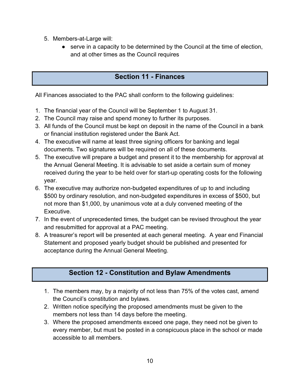- 5. Members-at-Large will:
	- serve in a capacity to be determined by the Council at the time of election, and at other times as the Council requires

## Section 11 - Finances

All Finances associated to the PAC shall conform to the following guidelines:

- 1. The financial year of the Council will be September 1 to August 31.
- 2. The Council may raise and spend money to further its purposes.
- 3. All funds of the Council must be kept on deposit in the name of the Council in a bank or financial institution registered under the Bank Act.
- 4. The executive will name at least three signing officers for banking and legal documents. Two signatures will be required on all of these documents.
- 5. The executive will prepare a budget and present it to the membership for approval at the Annual General Meeting. It is advisable to set aside a certain sum of money received during the year to be held over for start-up operating costs for the following year.
- 6. The executive may authorize non-budgeted expenditures of up to and including \$500 by ordinary resolution, and non-budgeted expenditures in excess of \$500, but not more than \$1,000, by unanimous vote at a duly convened meeting of the Executive.
- 7. In the event of unprecedented times, the budget can be revised throughout the year and resubmitted for approval at a PAC meeting.
- 8. A treasurer's report will be presented at each general meeting. A year end Financial Statement and proposed yearly budget should be published and presented for acceptance during the Annual General Meeting.

## Section 12 - Constitution and Bylaw Amendments

- 1. The members may, by a majority of not less than 75% of the votes cast, amend the Council's constitution and bylaws.
- 2. Written notice specifying the proposed amendments must be given to the members not less than 14 days before the meeting.
- 3. Where the proposed amendments exceed one page, they need not be given to every member, but must be posted in a conspicuous place in the school or made accessible to all members.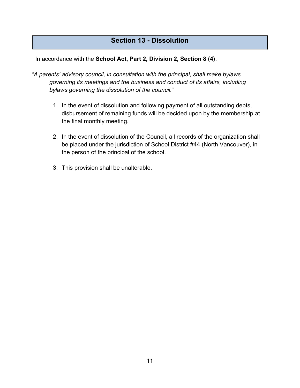### Section 13 - Dissolution

In accordance with the School Act, Part 2, Division 2, Section 8 (4),

- "A parents' advisory council, in consultation with the principal, shall make bylaws governing its meetings and the business and conduct of its affairs, including bylaws governing the dissolution of the council."
	- 1. In the event of dissolution and following payment of all outstanding debts, disbursement of remaining funds will be decided upon by the membership at the final monthly meeting.
	- 2. In the event of dissolution of the Council, all records of the organization shall be placed under the jurisdiction of School District #44 (North Vancouver), in the person of the principal of the school.
	- 3. This provision shall be unalterable.